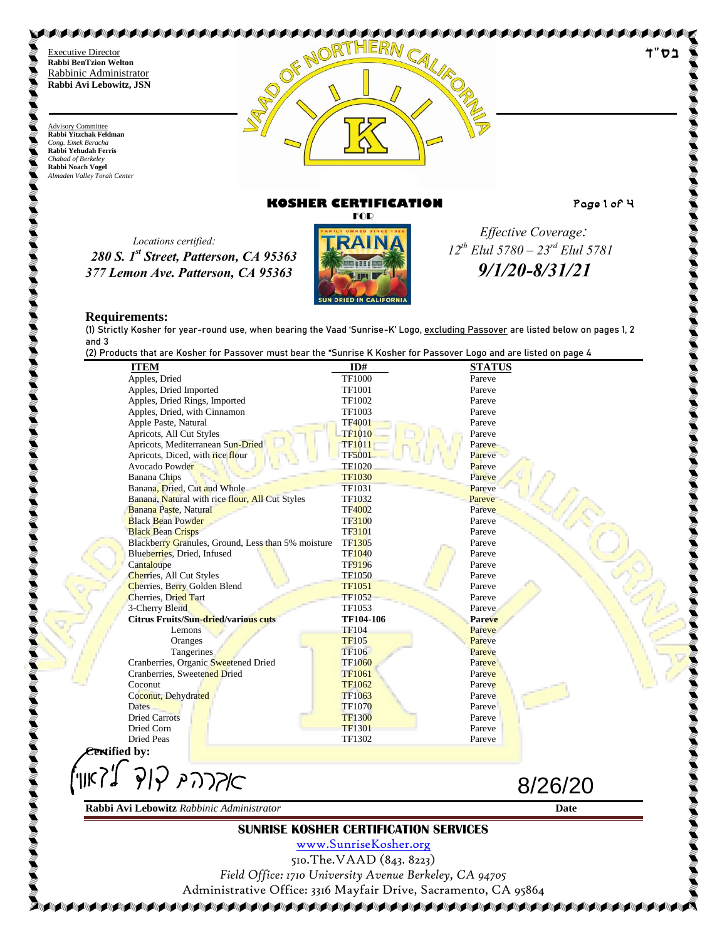Advisory Committee **Rabbi Yitzchak Feldman** *Cong. Emek Beracha* **Rabbi Yehudah Ferris** *Chabad of Berkeley* **Rabbi Noach Vogel** *Almaden Valley Torah Center*



# **KOSHER CERTIFICATION Page 1 of 4**

។' בס

 *Locations certified: 280 S. 1st Street, Patterson, CA 95363 377 Lemon Ave. Patterson, CA 95363*



 *Effective Coverage: 12th Elul 5780 – 23rd Elul 5781 9/1/20-8/31/21*

#### **Requirements:**

(1) Strictly Kosher for year-round use, when bearing the Vaad 'Sunrise-K' Logo, excluding Passover are listed below on pages 1, 2 and 3

(2) Products that are Kosher for Passover must bear the "Sunrise K Kosher for Passover Logo and are listed on page 4

| (2) Froudcis that are nosher for Fassover must bear the "Sunrise in Nosher for Fassover Eogo and are tisted on page 4<br><b>ITEM</b> | ID#                                                                   | <b>STATUS</b> |
|--------------------------------------------------------------------------------------------------------------------------------------|-----------------------------------------------------------------------|---------------|
| Apples, Dried                                                                                                                        | <b>TF1000</b>                                                         | Pareve        |
| Apples, Dried Imported                                                                                                               | <b>TF1001</b>                                                         | Pareve        |
| Apples, Dried Rings, Imported                                                                                                        | <b>TF1002</b>                                                         | Pareve        |
| Apples, Dried, with Cinnamon                                                                                                         | TF1003                                                                | Pareve        |
| Apple Paste, Natural                                                                                                                 | <b>TF4001</b>                                                         | Pareve        |
| Apricots, All Cut Styles                                                                                                             | <b>TF1010</b>                                                         | Pareve        |
| Apricots, Mediterranean Sun-Dried                                                                                                    | <b>TF1011</b>                                                         | Pareve        |
| Apricots, Diced, with rice flour                                                                                                     | <b>TF5001</b>                                                         | Pareve        |
| Avocado Powder                                                                                                                       | <b>TF1020</b>                                                         | Pareve        |
| <b>Banana</b> Chips                                                                                                                  | <b>TF1030</b>                                                         | Pareve        |
| Banana, Dried, Cut and Whole                                                                                                         | TF1031                                                                | Pareve        |
| Banana, Natural with rice flour, All Cut Styles                                                                                      | TF1032                                                                | Pareve        |
| Banana Paste, Natural                                                                                                                | <b>TF4002</b>                                                         | Pareve        |
| <b>Black Bean Powder</b>                                                                                                             | <b>TF3100</b>                                                         | Pareve        |
| <b>Black Bean Crisps</b>                                                                                                             | TF3101                                                                | Pareve        |
| Blackberry Granules, Ground, Less than 5% moisture                                                                                   | TF1305                                                                | Pareve        |
| Blueberries, Dried, Infused                                                                                                          | <b>TF1040</b>                                                         | Pareve        |
| Cantaloupe                                                                                                                           | <b>TF9196</b>                                                         | Pareve        |
| Cherries, All Cut Styles                                                                                                             | <b>TF1050</b>                                                         | Pareve        |
| Cherries, Berry Golden Blend                                                                                                         | <b>TF1051</b>                                                         | Pareve        |
| <b>Cherries</b> , Dried Tart                                                                                                         | <b>TF1052</b>                                                         | Pareve        |
| 3-Cherry Blend                                                                                                                       | TF1053                                                                | Pareve        |
| <b>Citrus Fruits/Sun-dried/various cuts</b>                                                                                          | TF104-106                                                             |               |
|                                                                                                                                      |                                                                       | Pareve        |
| Lemons                                                                                                                               | <b>TF104</b>                                                          | Pareve        |
| Oranges                                                                                                                              | <b>TF105</b>                                                          | Pareve        |
| Tangerines                                                                                                                           | <b>TF106</b>                                                          | Pareve        |
| Cranberries, Organic Sweetened Dried                                                                                                 | <b>TF1060</b>                                                         | Pareve        |
| Cranberries, Sweetened Dried                                                                                                         | <b>TF1061</b>                                                         | Pareve        |
| Coconut                                                                                                                              | <b>TF1062</b>                                                         | Pareve        |
| Coconut, Dehydrated                                                                                                                  | TF1063                                                                | Pareve        |
| <b>Dates</b>                                                                                                                         | <b>TF1070</b>                                                         | Pareve        |
| <b>Dried Carrots</b>                                                                                                                 | <b>TF1300</b>                                                         | Pareve        |
| Dried Corn                                                                                                                           | <b>TF1301</b>                                                         | Pareve        |
| <b>Dried Peas</b>                                                                                                                    | TF1302                                                                | Pareve        |
| <b>Cextified by:</b>                                                                                                                 |                                                                       |               |
|                                                                                                                                      |                                                                       | 8/26/20       |
| Rabbi Avi Lebowitz Rabbinic Administrator                                                                                            |                                                                       | Date          |
|                                                                                                                                      |                                                                       |               |
|                                                                                                                                      | <b>SUNRISE KOSHER CERTIFICATION SERVICES</b><br>www.SunriseKosher.org |               |
|                                                                                                                                      |                                                                       |               |
|                                                                                                                                      | 510. The VAAD (843. 8223)                                             |               |

Administrative Office: 3316 Mayfair Drive, Sacramento, CA 95864 A KABABARA SA KABADA SA KABADA SA KABADA SA KABADA SA KABADA SA KABADA SA KABADA SA KABADA SA KABADA SA KABADA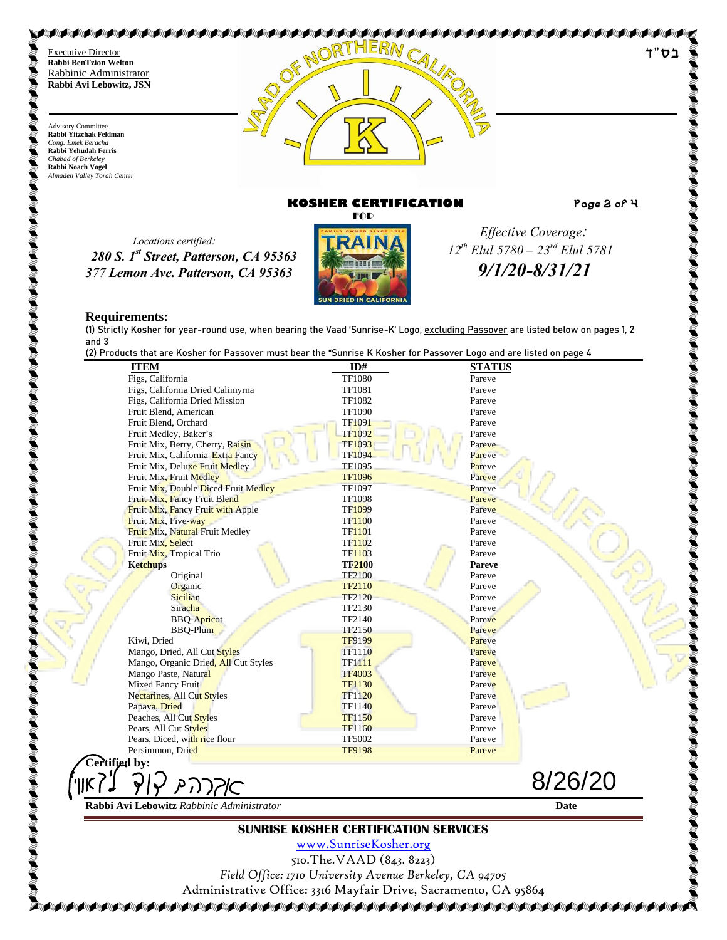Advisory Committee **Rabbi Yitzchak Feldman** *Cong. Emek Beracha* **Rabbi Yehudah Ferris** *Chabad of Berkeley* **Rabbi Noach Vogel** *Almaden Valley Torah Center*



# **KOSHER CERTIFICATION Page 2 of 4**

בס

 *Locations certified: 280 S. 1st Street, Patterson, CA 95363 377 Lemon Ave. Patterson, CA 95363*



 *Effective Coverage: 12th Elul 5780 – 23rd Elul 5781 9/1/20-8/31/21*

#### **Requirements:**

(1) Strictly Kosher for year-round use, when bearing the Vaad 'Sunrise-K' Logo, excluding Passover are listed below on pages 1, 2 and 3<br>(2) Pro

(2) Products that are Kosher for Passover must bear the "Sunrise K Kosher for Passover Logo and are listed on page 4

| <b>ITEM</b>                                  | ID#           | <b>STATUS</b> |
|----------------------------------------------|---------------|---------------|
| Figs, California                             | <b>TF1080</b> | Pareve        |
| Figs, California Dried Calimyrna             | <b>TF1081</b> | Pareve        |
| Figs, California Dried Mission               | TF1082        | Pareve        |
| Fruit Blend, American                        | <b>TF1090</b> | Pareve        |
| Fruit Blend, Orchard                         | <b>TF1091</b> | Pareve        |
| Fruit Medley, Baker's                        | <b>TF1092</b> | Pareve        |
| Fruit Mix, Berry, Cherry, Raisin             | <b>TF1093</b> | Pareve        |
| Fruit Mix, California Extra Fancy            | <b>TF1094</b> | Pareve        |
| Fruit Mix, Deluxe Fruit Medley               | <b>TF1095</b> | Pareve        |
| Fruit Mix, Fruit Medley                      | <b>TF1096</b> | Pareve        |
| Fruit Mix, Double Diced Fruit Medley         | TF1097        | Pareve        |
| Fruit Mix, Fancy Fruit Blend                 | TF1098        | Pareve        |
| <b>Fruit Mix, Fancy Fruit with Apple</b>     | TF1099        | Pareve        |
| Fruit Mix, Five-way                          | <b>TF1100</b> | Pareve        |
| Fruit Mix, Natural Fruit Medley              | <b>TF1101</b> | Pareve        |
| Fruit Mix, Select                            | <b>TF1102</b> | Pareve        |
| Fruit Mix, Tropical Trio                     | <b>TF1103</b> | Pareve        |
| <b>Ketchups</b>                              | <b>TF2100</b> | <b>Pareve</b> |
| Original                                     | <b>TF2100</b> | Pareve        |
| Organic                                      | TF2110        | Pareve        |
| Sicilian                                     | <b>TF2120</b> | Pareve        |
| Siracha                                      | TF2130        | Pareve        |
| <b>BBQ-Apricot</b>                           | TF2140        | Pareve        |
| <b>BBQ-Plum</b>                              | <b>TF2150</b> | Pareve        |
| Kiwi, Dried                                  | <b>TF9199</b> | Pareve        |
| Mango, Dried, All Cut Styles                 | <b>TF1110</b> | Pareve        |
| Mango, Organic Dried, All Cut Styles         | <b>TF1111</b> | Pareve        |
| Mango Paste, Natural                         | <b>TF4003</b> | Pareve        |
| Mixed Fancy Fruit                            | <b>TF1130</b> | Pareve        |
| Nectarines, All Cut Styles                   | <b>TF1120</b> | Pareve        |
| Papaya, Dried                                | <b>TF1140</b> | Pareve        |
| Peaches, All Cut Styles                      | <b>TF1150</b> | Pareve        |
| Pears, All Cut Styles                        | <b>TF1160</b> | Pareve        |
| Pears, Diced, with rice flour                | <b>TF5002</b> | Pareve        |
| Persimmon, Dried                             | <b>TF9198</b> | Pareve        |
| Certified by:                                |               |               |
|                                              |               |               |
| κ7<br>אקרה ק                                 |               | 8/26/20       |
| Rabbi Avi Lebowitz Rabbinic Administrator    |               | Date          |
| <b>SUNRISE KOSHER CERTIFICATION SERVICES</b> |               |               |

[www.SunriseKosher.org](http://www.sunrisekosher.org/) 510.The.VAAD (843. 8223) *Field Office: 1710 University Avenue Berkeley, CA 94705* Administrative Office: 3316 Mayfair Drive, Sacramento, CA 95864

8888888888888888888888888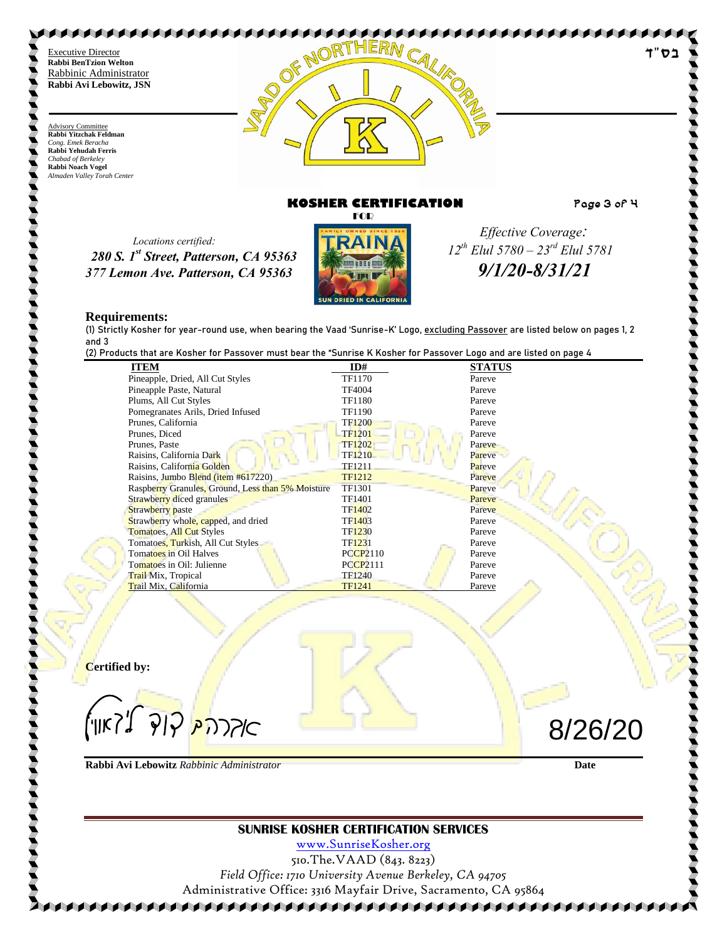Advisory Committee **Rabbi Yitzchak Feldman** *Cong. Emek Beracha* **Rabbi Yehudah Ferris** *Chabad of Berkeley* **Rabbi Noach Vogel** *Almaden Valley Torah Center*



# **KOSHER CERTIFICATION Page 3 of 4**

 *Locations certified: 280 S. 1st Street, Patterson, CA 95363 377 Lemon Ave. Patterson, CA 95363*



 *Effective Coverage: 12th Elul 5780 – 23rd Elul 5781 9/1/20-8/31/21*

#### **Requirements:**

(1) Strictly Kosher for year-round use, when bearing the Vaad 'Sunrise-K' Logo, excluding Passover are listed below on pages 1, 2 and 3

(2) Products that are Kosher for Passover must bear the "Sunrise K Kosher for Passover Logo and are listed on page 4

| (2) Froudclo liidl die Kosner for Fassover must bedring. Sum ise K Kosner for Fassover Logo diiu die listeu |                    |               |
|-------------------------------------------------------------------------------------------------------------|--------------------|---------------|
| <b>ITEM</b>                                                                                                 | ID#                | <b>STATUS</b> |
| Pineapple, Dried, All Cut Styles                                                                            | <b>TF1170</b>      | Pareve        |
| Pineapple Paste, Natural                                                                                    | <b>TF4004</b>      | Pareve        |
| Plums, All Cut Styles                                                                                       | <b>TF1180</b>      | Pareve        |
| Pomegranates Arils, Dried Infused                                                                           | <b>TF1190</b>      | Pareve        |
| Prunes, California                                                                                          | <b>TF1200</b>      | Pareve        |
| Prunes, Diced                                                                                               | <b>TF1201</b>      | Pareve        |
| Prunes, Paste                                                                                               | <b>TF1202</b>      | Pareve        |
| Raisins, California Dark                                                                                    | TF <sub>1210</sub> | Pareve        |
| Raisins, California Golden                                                                                  | TF1211             | Pareve        |
| Raisins, Jumbo Blend (item #617220)                                                                         | TF1212             | Pareve        |
| Raspberry Granules, Ground, Less than 5% Moisture                                                           | TF1301             | Pareve        |
| Strawberry diced granules                                                                                   | TF1401             | Pareve        |
| <b>Strawberry</b> paste                                                                                     | <b>TF1402</b>      | Pareve        |
| Strawberry whole, capped, and dried                                                                         | TF1403             | Pareve        |
| <b>Tomatoes, All Cut Styles</b>                                                                             | TF1230             | Pareve        |
| Tomatoes, Turkish, All Cut Styles                                                                           | TF1231             | Pareve        |
| Tomatoes in Oil Halves                                                                                      | <b>PCCP2110</b>    | Pareve        |
| Tomatoes in Oil: Julienne                                                                                   | <b>PCCP2111</b>    | Pareve        |
| <b>Trail Mix</b> , Tropical                                                                                 | <b>TF1240</b>      | Pareve        |
| Trail Mix, California                                                                                       | TF1241             | Pareve        |

**Certified by:**

אדרת<mark>יק קוד ל</mark>'דאון')

**Rabbi Avi Lebowitz** *Rabbinic Administrator* **Date**

8/26/20

## **SUNRISE KOSHER CERTIFICATION SERVICES**

[www.SunriseKosher.org](http://www.sunrisekosher.org/) 510.The.VAAD (843. 8223) *Field Office: 1710 University Avenue Berkeley, CA 94705* Administrative Office: 3316 Mayfair Drive, Sacramento, CA 95864